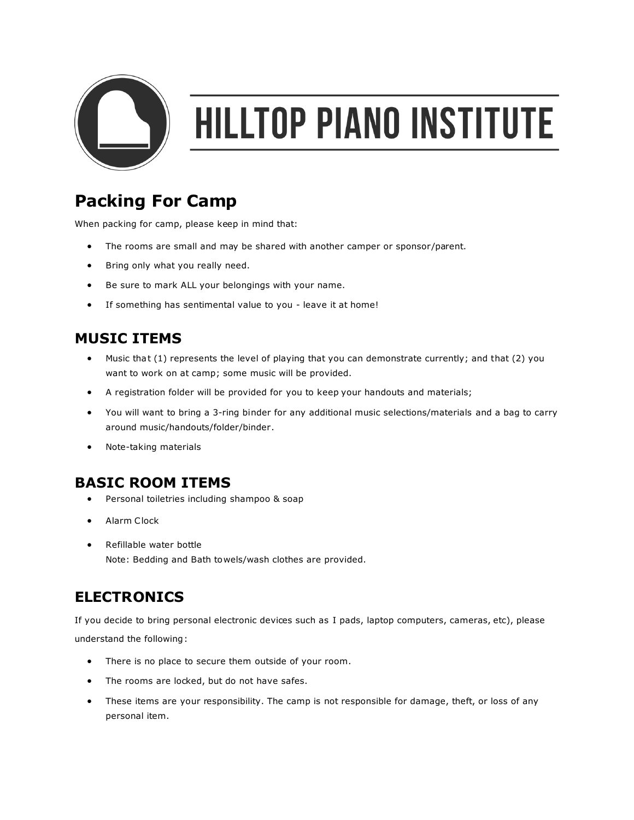

# **HILLTOP PIANO INSTITUTE**

## **Packing For Camp**

When packing for camp, please keep in mind that:

- The rooms are small and may be shared with another camper or sponsor/parent.
- Bring only what you really need.
- Be sure to mark ALL your belongings with your name.
- If something has sentimental value to you leave it at home!

#### **MUSIC ITEMS**

- Music that (1) represents the level of playing that you can demonstrate currently; and that (2) you want to work on at camp; some music will be provided.
- A registration folder will be provided for you to keep your handouts and materials;
- You will want to bring a 3-ring binder for any additional music selections/materials and a bag to carry around music/handouts/folder/binder.
- Note-taking materials

### **BASIC ROOM ITEMS**

- Personal toiletries including shampoo & soap
- Alarm Clock
- Refillable water bottle Note: Bedding and Bath towels/wash clothes are provided.

### **ELECTRONICS**

If you decide to bring personal electronic devices such as I pads, laptop computers, cameras, etc), please understand the following:

- There is no place to secure them outside of your room.
- The rooms are locked, but do not have safes.
- These items are your responsibility. The camp is not responsible for damage, theft, or loss of any personal item.